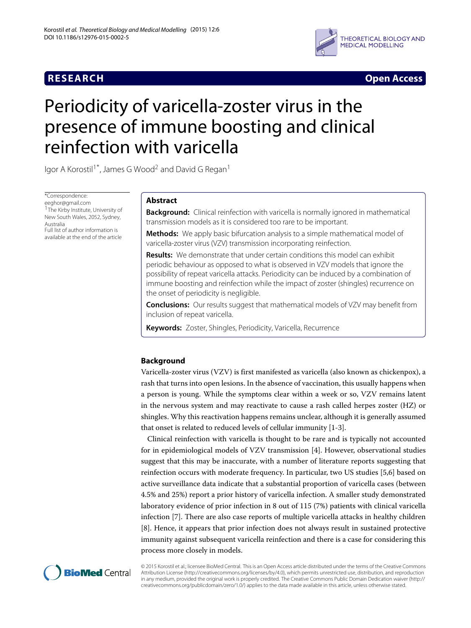

**RESEARCH Open Access**

# Periodicity of varicella-zoster virus in the presence of immune boosting and clinical reinfection with varicella

Igor A Korostil<sup>1\*</sup>, James G Wood<sup>2</sup> and David G Regan<sup>1</sup>

\*Correspondence:

[eeghor@gmail.com](mailto: eeghor@gmail.com) <sup>1</sup>The Kirby Institute, University of New South Wales, 2052, Sydney, Australia Full list of author information is available at the end of the article

# **Abstract**

**Background:** Clinical reinfection with varicella is normally ignored in mathematical transmission models as it is considered too rare to be important.

**Methods:** We apply basic bifurcation analysis to a simple mathematical model of varicella-zoster virus (VZV) transmission incorporating reinfection.

**Results:** We demonstrate that under certain conditions this model can exhibit periodic behaviour as opposed to what is observed in VZV models that ignore the possibility of repeat varicella attacks. Periodicity can be induced by a combination of immune boosting and reinfection while the impact of zoster (shingles) recurrence on the onset of periodicity is negligible.

**Conclusions:** Our results suggest that mathematical models of VZV may benefit from inclusion of repeat varicella.

**Keywords:** Zoster, Shingles, Periodicity, Varicella, Recurrence

# **Background**

Varicella-zoster virus (VZV) is first manifested as varicella (also known as chickenpox), a rash that turns into open lesions. In the absence of vaccination, this usually happens when a person is young. While the symptoms clear within a week or so, VZV remains latent in the nervous system and may reactivate to cause a rash called herpes zoster (HZ) or shingles. Why this reactivation happens remains unclear, although it is generally assumed that onset is related to reduced levels of cellular immunity [\[1](#page-9-0)[-3\]](#page-9-1).

Clinical reinfection with varicella is thought to be rare and is typically not accounted for in epidemiological models of VZV transmission [\[4\]](#page-9-2). However, observational studies suggest that this may be inaccurate, with a number of literature reports suggesting that reinfection occurs with moderate frequency. In particular, two US studies [\[5](#page-10-0)[,6\]](#page-10-1) based on active surveillance data indicate that a substantial proportion of varicella cases (between 4.5% and 25%) report a prior history of varicella infection. A smaller study demonstrated laboratory evidence of prior infection in 8 out of 115 (7%) patients with clinical varicella infection [\[7\]](#page-10-2). There are also case reports of multiple varicella attacks in healthy children [\[8\]](#page-10-3). Hence, it appears that prior infection does not always result in sustained protective immunity against subsequent varicella reinfection and there is a case for considering this process more closely in models.



© 2015 Korostil et al.; licensee BioMed Central. This is an Open Access article distributed under the terms of the Creative Commons Attribution License [\(http://creativecommons.org/licenses/by/4.0\)](http://creativecommons.org/licenses/by/4.0), which permits unrestricted use, distribution, and reproduction in any medium, provided the original work is properly credited. The Creative Commons Public Domain Dedication waiver [\(http://](http://creativecommons.org/publicdomain/zero/1.0/) [creativecommons.org/publicdomain/zero/1.0/\)](http://creativecommons.org/publicdomain/zero/1.0/) applies to the data made available in this article, unless otherwise stated.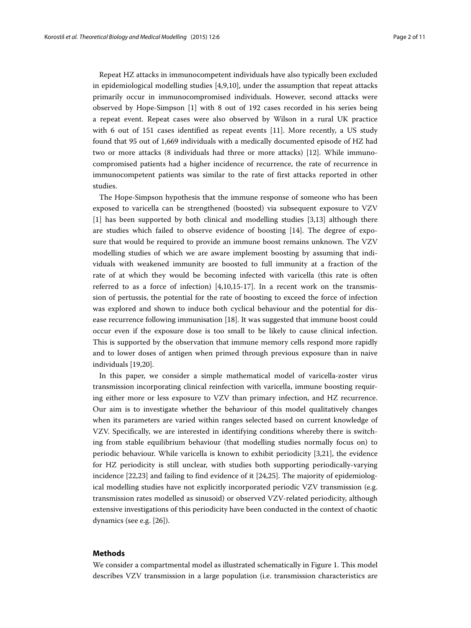Repeat HZ attacks in immunocompetent individuals have also typically been excluded in epidemiological modelling studies [\[4,](#page-9-2)[9,](#page-10-4)[10\]](#page-10-5), under the assumption that repeat attacks primarily occur in immunocompromised individuals. However, second attacks were observed by Hope-Simpson [\[1\]](#page-9-0) with 8 out of 192 cases recorded in his series being a repeat event. Repeat cases were also observed by Wilson in a rural UK practice with 6 out of 151 cases identified as repeat events [\[11\]](#page-10-6). More recently, a US study found that 95 out of 1,669 individuals with a medically documented episode of HZ had two or more attacks (8 individuals had three or more attacks) [\[12\]](#page-10-7). While immunocompromised patients had a higher incidence of recurrence, the rate of recurrence in immunocompetent patients was similar to the rate of first attacks reported in other studies.

The Hope-Simpson hypothesis that the immune response of someone who has been exposed to varicella can be strengthened (boosted) via subsequent exposure to VZV [\[1\]](#page-9-0) has been supported by both clinical and modelling studies [\[3](#page-9-1)[,13\]](#page-10-8) although there are studies which failed to observe evidence of boosting [\[14\]](#page-10-9). The degree of exposure that would be required to provide an immune boost remains unknown. The VZV modelling studies of which we are aware implement boosting by assuming that individuals with weakened immunity are boosted to full immunity at a fraction of the rate of at which they would be becoming infected with varicella (this rate is often referred to as a force of infection)  $[4,10,15-17]$  $[4,10,15-17]$  $[4,10,15-17]$  $[4,10,15-17]$ . In a recent work on the transmission of pertussis, the potential for the rate of boosting to exceed the force of infection was explored and shown to induce both cyclical behaviour and the potential for disease recurrence following immunisation [\[18\]](#page-10-12). It was suggested that immune boost could occur even if the exposure dose is too small to be likely to cause clinical infection. This is supported by the observation that immune memory cells respond more rapidly and to lower doses of antigen when primed through previous exposure than in naive individuals [\[19,](#page-10-13)[20\]](#page-10-14).

In this paper, we consider a simple mathematical model of varicella-zoster virus transmission incorporating clinical reinfection with varicella, immune boosting requiring either more or less exposure to VZV than primary infection, and HZ recurrence. Our aim is to investigate whether the behaviour of this model qualitatively changes when its parameters are varied within ranges selected based on current knowledge of VZV. Specifically, we are interested in identifying conditions whereby there is switching from stable equilibrium behaviour (that modelling studies normally focus on) to periodic behaviour. While varicella is known to exhibit periodicity [\[3,](#page-9-1)[21\]](#page-10-15), the evidence for HZ periodicity is still unclear, with studies both supporting periodically-varying incidence [\[22](#page-10-16)[,23\]](#page-10-17) and failing to find evidence of it [\[24,](#page-10-18)[25\]](#page-10-19). The majority of epidemiological modelling studies have not explicitly incorporated periodic VZV transmission (e.g. transmission rates modelled as sinusoid) or observed VZV-related periodicity, although extensive investigations of this periodicity have been conducted in the context of chaotic dynamics (see e.g. [\[26\]](#page-10-20)).

# **Methods**

We consider a compartmental model as illustrated schematically in Figure [1.](#page-2-0) This model describes VZV transmission in a large population (i.e. transmission characteristics are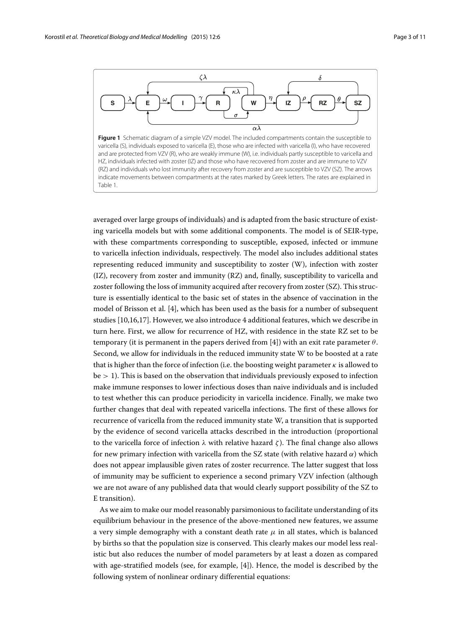

<span id="page-2-0"></span>averaged over large groups of individuals) and is adapted from the basic structure of existing varicella models but with some additional components. The model is of SEIR-type, with these compartments corresponding to susceptible, exposed, infected or immune to varicella infection individuals, respectively. The model also includes additional states representing reduced immunity and susceptibility to zoster (W), infection with zoster (IZ), recovery from zoster and immunity (RZ) and, finally, susceptibility to varicella and zoster following the loss of immunity acquired after recovery from zoster (SZ). This structure is essentially identical to the basic set of states in the absence of vaccination in the model of Brisson et al. [\[4\]](#page-9-2), which has been used as the basis for a number of subsequent studies [\[10](#page-10-5)[,16](#page-10-21)[,17\]](#page-10-11). However, we also introduce 4 additional features, which we describe in turn here. First, we allow for recurrence of HZ, with residence in the state RZ set to be temporary (it is permanent in the papers derived from [\[4\]](#page-9-2)) with an exit rate parameter  $\theta$ . Second, we allow for individuals in the reduced immunity state W to be boosted at a rate that is higher than the force of infection (i.e. the boosting weight parameter  $\kappa$  is allowed to  $be > 1$ ). This is based on the observation that individuals previously exposed to infection make immune responses to lower infectious doses than naive individuals and is included to test whether this can produce periodicity in varicella incidence. Finally, we make two further changes that deal with repeated varicella infections. The first of these allows for recurrence of varicella from the reduced immunity state W, a transition that is supported by the evidence of second varicella attacks described in the introduction (proportional to the varicella force of infection  $\lambda$  with relative hazard  $\zeta$ ). The final change also allows for new primary infection with varicella from the SZ state (with relative hazard  $\alpha$ ) which does not appear implausible given rates of zoster recurrence. The latter suggest that loss of immunity may be sufficient to experience a second primary VZV infection (although we are not aware of any published data that would clearly support possibility of the SZ to E transition).

<span id="page-2-1"></span>As we aim to make our model reasonably parsimonious to facilitate understanding of its equilibrium behaviour in the presence of the above-mentioned new features, we assume a very simple demography with a constant death rate  $\mu$  in all states, which is balanced by births so that the population size is conserved. This clearly makes our model less realistic but also reduces the number of model parameters by at least a dozen as compared with age-stratified models (see, for example, [\[4\]](#page-9-2)). Hence, the model is described by the following system of nonlinear ordinary differential equations: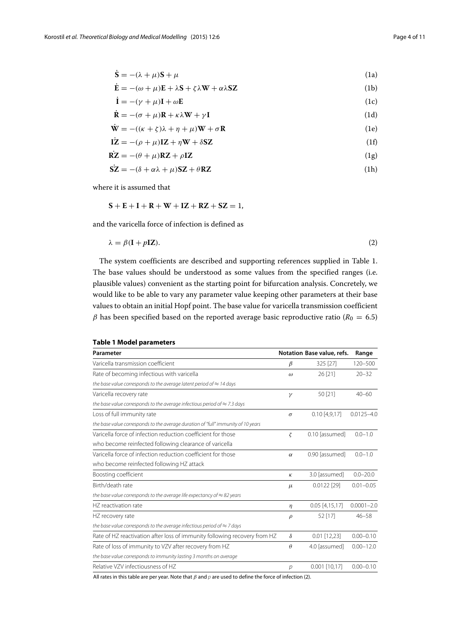$\ddot{\phantom{a}}$ 

$$
\mathbf{S} = -(\lambda + \mu)\mathbf{S} + \mu \tag{1a}
$$

$$
\dot{\mathbf{E}} = -(\omega + \mu)\mathbf{E} + \lambda \mathbf{S} + \zeta \lambda \mathbf{W} + \alpha \lambda \mathbf{S} \mathbf{Z}
$$
 (1b)

$$
\dot{\mathbf{I}} = -(\gamma + \mu)\mathbf{I} + \omega \mathbf{E}
$$
 (1c)

$$
\dot{\mathbf{R}} = -(\sigma + \mu)\mathbf{R} + \kappa\lambda\mathbf{W} + \gamma\mathbf{I}
$$
\n(1d)\n
$$
\dot{\mathbf{W}} = -((\kappa + \kappa)\lambda + n + \mu)\mathbf{W} + \sigma\mathbf{R}
$$
\n(1e)

$$
\mathbf{w} = -((\kappa + \zeta)\kappa + \eta + \mu)\mathbf{w} + \sigma\mathbf{R}
$$
\n
$$
\mathbf{r}\mathbf{z} = -(\sigma + \mu)\mathbf{I}\mathbf{Z} + \mathbf{n}\mathbf{W} + \delta\mathbf{S}\mathbf{Z}
$$
\n(16)

$$
1Z = -(\rho + \mu)1Z + \eta W + \delta \Sigma \tag{11}
$$

$$
RZ = -(\theta + \mu)RZ + \rho IZ
$$
 (1g)

$$
SZ = -(\delta + \alpha \lambda + \mu)SZ + \theta RZ \tag{1h}
$$

where it is assumed that

<span id="page-3-1"></span>
$$
S+E+I+R+W+IZ+RZ+SZ=1,
$$

and the varicella force of infection is defined as

$$
\lambda = \beta(\mathbf{I} + p\mathbf{I}\mathbf{Z}).\tag{2}
$$

The system coefficients are described and supporting references supplied in Table [1.](#page-3-0) The base values should be understood as some values from the specified ranges (i.e. plausible values) convenient as the starting point for bifurcation analysis. Concretely, we would like to be able to vary any parameter value keeping other parameters at their base values to obtain an initial Hopf point. The base value for varicella transmission coefficient  $β$  has been specified based on the reported average basic reproductive ratio ( $R_0 = 6.5$ )

<span id="page-3-0"></span>

| Parameter                                                                         |          | Notation Base value, refs. | Range          |
|-----------------------------------------------------------------------------------|----------|----------------------------|----------------|
| Varicella transmission coefficient                                                | $\beta$  | 325 [27]                   | 120-500        |
| Rate of becoming infectious with varicella                                        | $\omega$ | 26 [21]                    | $20 - 32$      |
| the base value corresponds to the average latent period of $\approx$ 14 days      |          |                            |                |
| Varicella recovery rate                                                           | $\gamma$ | 50 [21]                    | $40 - 60$      |
| the base value corresponds to the average infectious period of $\approx$ 7.3 days |          |                            |                |
| Loss of full immunity rate                                                        | $\sigma$ | $0.10$ [4,9,17]            | $0.0125 - 4.0$ |
| the base value corresponds to the average duration of "full" immunity of 10 years |          |                            |                |
| Varicella force of infection reduction coefficient for those                      | ζ        | 0.10 [assumed]             | $0.0 - 1.0$    |
| who become reinfected following clearance of varicella                            |          |                            |                |
| Varicella force of infection reduction coefficient for those                      | $\alpha$ | 0.90 [assumed]             | $0.0 - 1.0$    |
| who become reinfected following HZ attack                                         |          |                            |                |
| Boosting coefficient                                                              | $\kappa$ | 3.0 [assumed]              | $0.0 - 20.0$   |
| Birth/death rate                                                                  | $\mu$    | $0.0122$ [29]              | $0.01 - 0.05$  |
| the base value corresponds to the average life expectancy of $\approx$ 82 years   |          |                            |                |
| HZ reactivation rate                                                              | $\eta$   | $0.05$ [4,15,17]           | $0.0001 - 2.0$ |
| HZ recovery rate                                                                  | $\rho$   | 52 [17]                    | $46 - 58$      |
| the base value corresponds to the average infectious period of $\approx$ 7 days   |          |                            |                |
| Rate of HZ reactivation after loss of immunity following recovery from HZ         | $\delta$ | $0.01$ [12,23]             | $0.00 - 0.10$  |
| Rate of loss of immunity to VZV after recovery from HZ                            | $\theta$ | 4.0 [assumed]              | $0.00 - 12.0$  |
| the base value corresponds to immunity lasting 3 months on average                |          |                            |                |
| Relative VZV infectiousness of HZ                                                 | p        | $0.001$ [10,17]            | $0.00 - 0.10$  |
|                                                                                   |          |                            |                |

# **Table 1 Model parameters**

All rates in this table are per year. Note that  $\beta$  and  $p$  are used to define the force of infection [\(2\)](#page-3-1).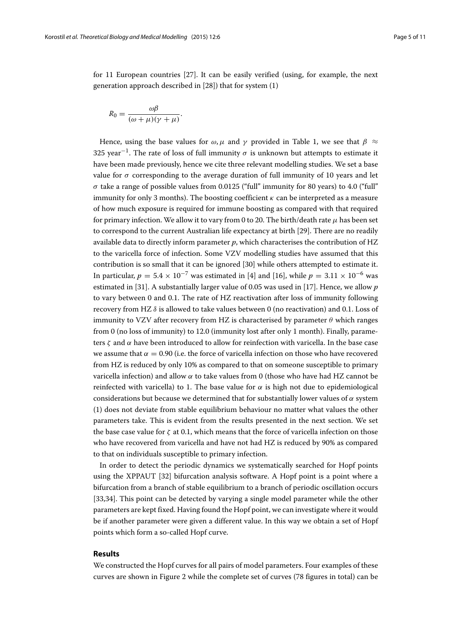for 11 European countries [\[27\]](#page-10-22). It can be easily verified (using, for example, the next generation approach described in [\[28\]](#page-10-24)) that for system [\(1\)](#page-2-1)

$$
R_0 = \frac{\omega\beta}{(\omega + \mu)(\gamma + \mu)}.
$$

Hence, using the base values for  $\omega$ ,  $\mu$  and  $\gamma$  provided in Table [1,](#page-3-0) we see that  $\beta \approx$ 325 year<sup>-1</sup>. The rate of loss of full immunity  $\sigma$  is unknown but attempts to estimate it have been made previously, hence we cite three relevant modelling studies. We set a base value for  $\sigma$  corresponding to the average duration of full immunity of 10 years and let  $\sigma$  take a range of possible values from 0.0125 ("full" immunity for 80 years) to 4.0 ("full" immunity for only 3 months). The boosting coefficient  $\kappa$  can be interpreted as a measure of how much exposure is required for immune boosting as compared with that required for primary infection. We allow it to vary from 0 to 20. The birth/death rate  $\mu$  has been set to correspond to the current Australian life expectancy at birth [\[29\]](#page-10-23). There are no readily available data to directly inform parameter *p*, which characterises the contribution of HZ to the varicella force of infection. Some VZV modelling studies have assumed that this contribution is so small that it can be ignored [\[30\]](#page-10-25) while others attempted to estimate it. In particular,  $p = 5.4 \times 10^{-7}$  was estimated in [\[4\]](#page-9-2) and [\[16\]](#page-10-21), while  $p = 3.11 \times 10^{-6}$  was estimated in [\[31\]](#page-10-26). A substantially larger value of 0.05 was used in [\[17\]](#page-10-11). Hence, we allow *p* to vary between 0 and 0.1. The rate of HZ reactivation after loss of immunity following recovery from HZ  $\delta$  is allowed to take values between 0 (no reactivation) and 0.1. Loss of immunity to VZV after recovery from HZ is characterised by parameter  $\theta$  which ranges from 0 (no loss of immunity) to 12.0 (immunity lost after only 1 month). Finally, parameters  $\zeta$  and  $\alpha$  have been introduced to allow for reinfection with varicella. In the base case we assume that  $\alpha = 0.90$  (i.e. the force of varicella infection on those who have recovered from HZ is reduced by only 10% as compared to that on someone susceptible to primary varicella infection) and allow  $\alpha$  to take values from 0 (those who have had HZ cannot be reinfected with varicella) to 1. The base value for  $\alpha$  is high not due to epidemiological considerations but because we determined that for substantially lower values of  $\alpha$  system [\(1\)](#page-2-1) does not deviate from stable equilibrium behaviour no matter what values the other parameters take. This is evident from the results presented in the next section. We set the base case value for  $\zeta$  at 0.1, which means that the force of varicella infection on those who have recovered from varicella and have not had HZ is reduced by 90% as compared to that on individuals susceptible to primary infection.

In order to detect the periodic dynamics we systematically searched for Hopf points using the XPPAUT [\[32\]](#page-10-27) bifurcation analysis software. A Hopf point is a point where a bifurcation from a branch of stable equilibrium to a branch of periodic oscillation occurs [\[33](#page-10-28)[,34\]](#page-10-29). This point can be detected by varying a single model parameter while the other parameters are kept fixed. Having found the Hopf point, we can investigate where it would be if another parameter were given a different value. In this way we obtain a set of Hopf points which form a so-called Hopf curve.

### <span id="page-4-0"></span>**Results**

We constructed the Hopf curves for all pairs of model parameters. Four examples of these curves are shown in Figure [2](#page-5-0) while the complete set of curves (78 figures in total) can be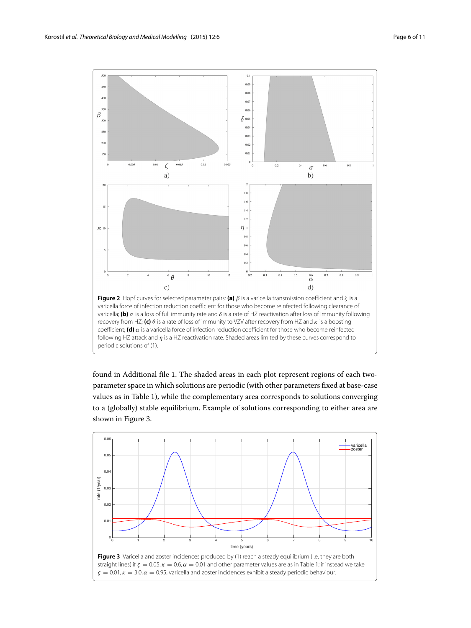

<span id="page-5-0"></span>found in Additional file [1.](#page-9-3) The shaded areas in each plot represent regions of each twoparameter space in which solutions are periodic (with other parameters fixed at base-case values as in Table [1\)](#page-3-0), while the complementary area corresponds to solutions converging to a (globally) stable equilibrium. Example of solutions corresponding to either area are shown in Figure [3.](#page-5-1)

<span id="page-5-1"></span>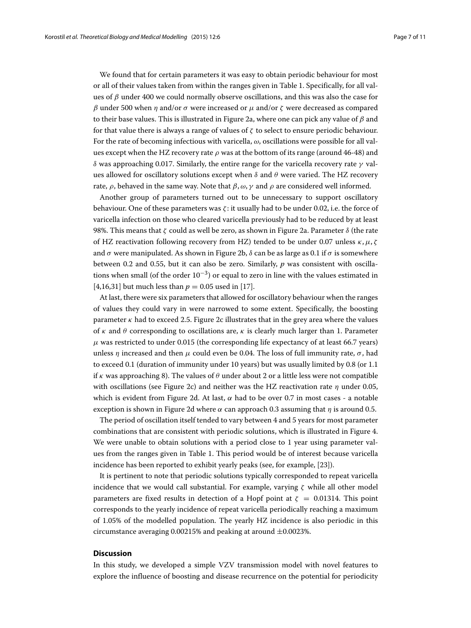We found that for certain parameters it was easy to obtain periodic behaviour for most or all of their values taken from within the ranges given in Table [1.](#page-3-0) Specifically, for all values of  $\beta$  under 400 we could normally observe oscillations, and this was also the case for β under 500 when η and/or σ were increased or  $\mu$  and/or ζ were decreased as compared to their base values. This is illustrated in Figure [2a](#page-5-0), where one can pick any value of  $\beta$  and for that value there is always a range of values of  $\zeta$  to select to ensure periodic behaviour. For the rate of becoming infectious with varicella,  $\omega$ , oscillations were possible for all values except when the HZ recovery rate  $\rho$  was at the bottom of its range (around 46-48) and δ was approaching 0.017. Similarly, the entire range for the varicella recovery rate  $γ$  values allowed for oscillatory solutions except when  $\delta$  and  $\theta$  were varied. The HZ recovery rate,  $\rho$ , behaved in the same way. Note that  $\beta$ ,  $\omega$ ,  $\gamma$  and  $\rho$  are considered well informed.

Another group of parameters turned out to be unnecessary to support oscillatory behaviour. One of these parameters was ζ : it usually had to be under 0.02, i.e. the force of varicella infection on those who cleared varicella previously had to be reduced by at least 98%. This means that ζ could as well be zero, as shown in Figure [2a](#page-5-0). Parameter  $δ$  (the rate of HZ reactivation following recovery from HZ) tended to be under 0.07 unless  $\kappa$ ,  $\mu$ ,  $\zeta$ and  $\sigma$  were manipulated. As shown in Figure [2b](#page-5-0),  $\delta$  can be as large as 0.1 if  $\sigma$  is somewhere between 0.2 and 0.55, but it can also be zero. Similarly, *p* was consistent with oscillations when small (of the order  $10^{-3}$ ) or equal to zero in line with the values estimated in [\[4](#page-9-2)[,16](#page-10-21)[,31\]](#page-10-26) but much less than  $p = 0.05$  used in [\[17\]](#page-10-11).

At last, there were six parameters that allowed for oscillatory behaviour when the ranges of values they could vary in were narrowed to some extent. Specifically, the boosting parameter  $\kappa$  had to exceed 2.5. Figure [2c](#page-5-0) illustrates that in the grey area where the values of  $\kappa$  and  $\theta$  corresponding to oscillations are,  $\kappa$  is clearly much larger than 1. Parameter  $\mu$  was restricted to under 0.015 (the corresponding life expectancy of at least 66.7 years) unless  $\eta$  increased and then  $\mu$  could even be 0.04. The loss of full immunity rate,  $\sigma$ , had to exceed 0.1 (duration of immunity under 10 years) but was usually limited by 0.8 (or 1.1 if  $\kappa$  was approaching 8). The values of  $\theta$  under about 2 or a little less were not compatible with oscillations (see Figure [2c](#page-5-0)) and neither was the HZ reactivation rate  $\eta$  under 0.05, which is evident from Figure [2d](#page-5-0). At last,  $\alpha$  had to be over 0.7 in most cases - a notable exception is shown in Figure [2d](#page-5-0) where  $\alpha$  can approach 0.3 assuming that  $\eta$  is around 0.5.

The period of oscillation itself tended to vary between 4 and 5 years for most parameter combinations that are consistent with periodic solutions, which is illustrated in Figure [4.](#page-7-0) We were unable to obtain solutions with a period close to 1 year using parameter values from the ranges given in Table [1.](#page-3-0) This period would be of interest because varicella incidence has been reported to exhibit yearly peaks (see, for example, [\[23\]](#page-10-17)).

It is pertinent to note that periodic solutions typically corresponded to repeat varicella incidence that we would call substantial. For example, varying  $\zeta$  while all other model parameters are fixed results in detection of a Hopf point at  $\zeta = 0.01314$ . This point corresponds to the yearly incidence of repeat varicella periodically reaching a maximum of 1.05% of the modelled population. The yearly HZ incidence is also periodic in this circumstance averaging 0.00215% and peaking at around  $\pm$ 0.0023%.

# **Discussion**

In this study, we developed a simple VZV transmission model with novel features to explore the influence of boosting and disease recurrence on the potential for periodicity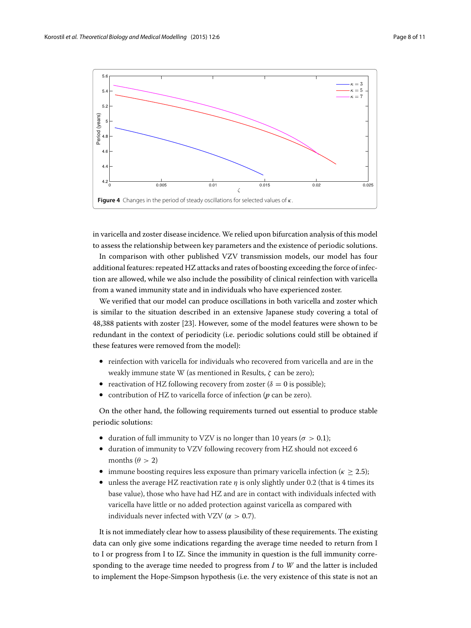

<span id="page-7-0"></span>in varicella and zoster disease incidence. We relied upon bifurcation analysis of this model to assess the relationship between key parameters and the existence of periodic solutions.

In comparison with other published VZV transmission models, our model has four additional features: repeated HZ attacks and rates of boosting exceeding the force of infection are allowed, while we also include the possibility of clinical reinfection with varicella from a waned immunity state and in individuals who have experienced zoster.

We verified that our model can produce oscillations in both varicella and zoster which is similar to the situation described in an extensive Japanese study covering a total of 48,388 patients with zoster [\[23\]](#page-10-17). However, some of the model features were shown to be redundant in the context of periodicity (i.e. periodic solutions could still be obtained if these features were removed from the model):

- reinfection with varicella for individuals who recovered from varicella and are in the weakly immune state W (as mentioned in [Results,](#page-4-0) ζ can be zero);
- reactivation of HZ following recovery from zoster ( $\delta = 0$  is possible);
- contribution of HZ to varicella force of infection (*p* can be zero).

On the other hand, the following requirements turned out essential to produce stable periodic solutions:

- duration of full immunity to VZV is no longer than 10 years ( $\sigma > 0.1$ );
- duration of immunity to VZV following recovery from HZ should not exceed 6 months ( $\theta > 2$ )
- immune boosting requires less exposure than primary varicella infection ( $\kappa > 2.5$ );
- unless the average HZ reactivation rate  $\eta$  is only slightly under 0.2 (that is 4 times its base value), those who have had HZ and are in contact with individuals infected with varicella have little or no added protection against varicella as compared with individuals never infected with VZV ( $\alpha > 0.7$ ).

It is not immediately clear how to assess plausibility of these requirements. The existing data can only give some indications regarding the average time needed to return from I to I or progress from I to IZ. Since the immunity in question is the full immunity corresponding to the average time needed to progress from *I* to *W* and the latter is included to implement the Hope-Simpson hypothesis (i.e. the very existence of this state is not an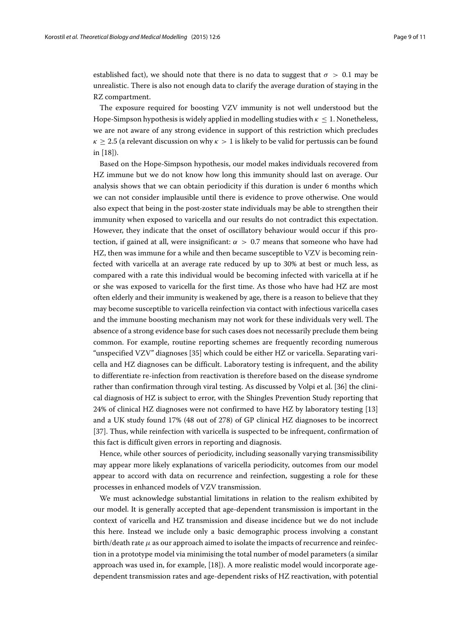established fact), we should note that there is no data to suggest that  $\sigma > 0.1$  may be unrealistic. There is also not enough data to clarify the average duration of staying in the RZ compartment.

The exposure required for boosting VZV immunity is not well understood but the Hope-Simpson hypothesis is widely applied in modelling studies with  $\kappa \leq 1$ . Nonetheless, we are not aware of any strong evidence in support of this restriction which precludes  $\kappa \geq 2.5$  (a relevant discussion on why  $\kappa > 1$  is likely to be valid for pertussis can be found in [\[18\]](#page-10-12)).

Based on the Hope-Simpson hypothesis, our model makes individuals recovered from HZ immune but we do not know how long this immunity should last on average. Our analysis shows that we can obtain periodicity if this duration is under 6 months which we can not consider implausible until there is evidence to prove otherwise. One would also expect that being in the post-zoster state individuals may be able to strengthen their immunity when exposed to varicella and our results do not contradict this expectation. However, they indicate that the onset of oscillatory behaviour would occur if this protection, if gained at all, were insignificant:  $\alpha > 0.7$  means that someone who have had HZ, then was immune for a while and then became susceptible to VZV is becoming reinfected with varicella at an average rate reduced by up to 30% at best or much less, as compared with a rate this individual would be becoming infected with varicella at if he or she was exposed to varicella for the first time. As those who have had HZ are most often elderly and their immunity is weakened by age, there is a reason to believe that they may become susceptible to varicella reinfection via contact with infectious varicella cases and the immune boosting mechanism may not work for these individuals very well. The absence of a strong evidence base for such cases does not necessarily preclude them being common. For example, routine reporting schemes are frequently recording numerous "unspecified VZV" diagnoses [\[35\]](#page-10-30) which could be either HZ or varicella. Separating varicella and HZ diagnoses can be difficult. Laboratory testing is infrequent, and the ability to differentiate re-infection from reactivation is therefore based on the disease syndrome rather than confirmation through viral testing. As discussed by Volpi et al. [\[36\]](#page-10-31) the clinical diagnosis of HZ is subject to error, with the Shingles Prevention Study reporting that 24% of clinical HZ diagnoses were not confirmed to have HZ by laboratory testing [\[13\]](#page-10-8) and a UK study found 17% (48 out of 278) of GP clinical HZ diagnoses to be incorrect [\[37\]](#page-10-32). Thus, while reinfection with varicella is suspected to be infrequent, confirmation of this fact is difficult given errors in reporting and diagnosis.

Hence, while other sources of periodicity, including seasonally varying transmissibility may appear more likely explanations of varicella periodicity, outcomes from our model appear to accord with data on recurrence and reinfection, suggesting a role for these processes in enhanced models of VZV transmission.

We must acknowledge substantial limitations in relation to the realism exhibited by our model. It is generally accepted that age-dependent transmission is important in the context of varicella and HZ transmission and disease incidence but we do not include this here. Instead we include only a basic demographic process involving a constant birth/death rate  $\mu$  as our approach aimed to isolate the impacts of recurrence and reinfection in a prototype model via minimising the total number of model parameters (a similar approach was used in, for example, [\[18\]](#page-10-12)). A more realistic model would incorporate agedependent transmission rates and age-dependent risks of HZ reactivation, with potential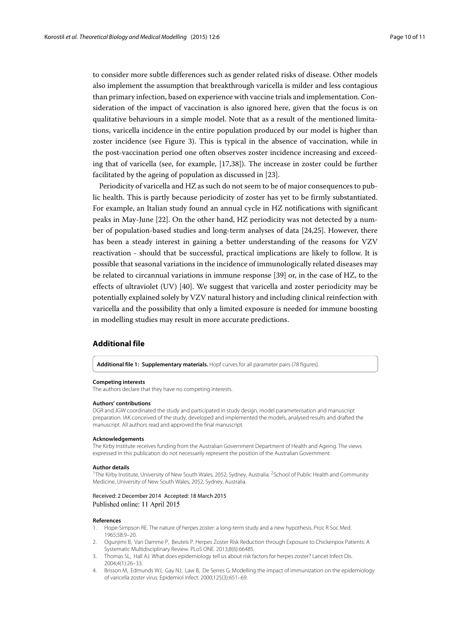to consider more subtle differences such as gender related risks of disease. Other models also implement the assumption that breakthrough varicella is milder and less contagious than primary infection, based on experience with vaccine trials and implementation. Consideration of the impact of vaccination is also ignored here, given that the focus is on qualitative behaviours in a simple model. Note that as a result of the mentioned limitations, varicella incidence in the entire population produced by our model is higher than zoster incidence (see Figure [3\)](#page-5-1). This is typical in the absence of vaccination, while in the post-vaccination period one often observes zoster incidence increasing and exceeding that of varicella (see, for example, [\[17](#page-10-11)[,38\]](#page-10-33)). The increase in zoster could be further facilitated by the ageing of population as discussed in [\[23\]](#page-10-17).

Periodicity of varicella and HZ as such do not seem to be of major consequences to public health. This is partly because periodicity of zoster has yet to be firmly substantiated. For example, an Italian study found an annual cycle in HZ notifications with significant peaks in May-June [\[22\]](#page-10-16). On the other hand, HZ periodicity was not detected by a number of population-based studies and long-term analyses of data [\[24,](#page-10-18)[25\]](#page-10-19). However, there has been a steady interest in gaining a better understanding of the reasons for VZV reactivation - should that be successful, practical implications are likely to follow. It is possible that seasonal variations in the incidence of immunologically related diseases may be related to circannual variations in immune response [\[39\]](#page-10-34) or, in the case of HZ, to the effects of ultraviolet (UV) [\[40\]](#page-10-35). We suggest that varicella and zoster periodicity may be potentially explained solely by VZV natural history and including clinical reinfection with varicella and the possibility that only a limited exposure is needed for immune boosting in modelling studies may result in more accurate predictions.

## **Additional file**

<span id="page-9-3"></span>**[Additional file 1:](http://www.biomedcentral.com/content/supplementary/s12976-015-0002-5-s1.pdf) Supplementary materials.** Hopf curves for all parameter pairs (78 figures).

#### **Competing interests**

The authors declare that they have no competing interests.

#### **Authors' contributions**

DGR and JGW coordinated the study and participated in study design, model parameterisation and manuscript preparation. IAK conceived of the study, developed and implemented the models, analysed results and drafted the manuscript. All authors read and approved the final manuscript.

#### **Acknowledgements**

The Kirby Institute receives funding from the Australian Government Department of Health and Ageing. The views expressed in this publication do not necessarily represent the position of the Australian Government.

#### **Author details**

<sup>1</sup>The Kirby Institute, University of New South Wales, 2052, Sydney, Australia. <sup>2</sup>School of Public Health and Community Medicine, University of New South Wales, 2052, Sydney, Australia.

#### Received: 2 December 2014 Accepted: 18 March 2015 Published online: 11 April 2015

#### **References**

- <span id="page-9-0"></span>1. Hope-Simpson RE. The nature of herpes zoster: a long-term study and a new hypothesis. Proc R Soc Med. 1965;58:9–20.
- 2. Ogunjimi B, Van Damme P, Beutels P. Herpes Zoster Risk Reduction through Exposure to Chickenpox Patients: A Systematic Multidisciplinary Review. PLoS ONE. 2013;8(6):66485.
- <span id="page-9-1"></span>Thomas SL, Hall AJ. What does epidemiology tell us about risk factors for herpes zoster? Lancet Infect Dis. 2004;4(1):26–33.
- <span id="page-9-2"></span>4. Brisson M, Edmunds WJ, Gay NJ, Law B, De Serres G. Modelling the impact of immunization on the epidemiology of varicella zoster virus. Epidemiol Infect. 2000;125(3):651–69.